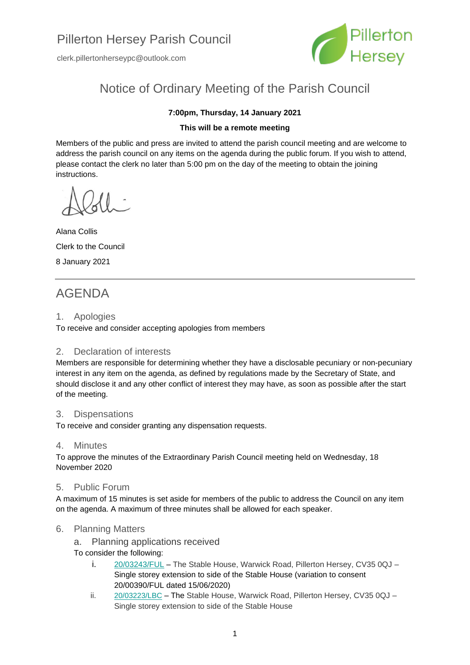clerk.pillertonherseypc@outlook.com



# Notice of Ordinary Meeting of the Parish Council

#### **7:00pm, Thursday, 14 January 2021**

#### **This will be a remote meeting**

Members of the public and press are invited to attend the parish council meeting and are welcome to address the parish council on any items on the agenda during the public forum. If you wish to attend, please contact the clerk no later than 5:00 pm on the day of the meeting to obtain the joining instructions.

Alana Collis Clerk to the Council 8 January 2021

## AGENDA

#### 1. Apologies

To receive and consider accepting apologies from members

#### 2. Declaration of interests

Members are responsible for determining whether they have a disclosable pecuniary or non-pecuniary interest in any item on the agenda, as defined by regulations made by the Secretary of State, and should disclose it and any other conflict of interest they may have, as soon as possible after the start of the meeting.

#### 3. Dispensations

To receive and consider granting any dispensation requests.

#### 4. Minutes

To approve the minutes of the Extraordinary Parish Council meeting held on Wednesday, 18 November 2020

#### 5. Public Forum

A maximum of 15 minutes is set aside for members of the public to address the Council on any item on the agenda. A maximum of three minutes shall be allowed for each speaker.

#### 6. Planning Matters

a. Planning applications received

To consider the following:

- i. [20/03243/FUL](https://apps.stratford.gov.uk/eplanning/AppDetail.aspx?appkey=QJW1FCPMJ3V00) The Stable House, Warwick Road, Pillerton Hersey, CV35 0QJ Single storey extension to side of the Stable House (variation to consent 20/00390/FUL dated 15/06/2020)
- ii. [20/03223/LBC](https://apps.stratford.gov.uk/eplanning/AppDetail.aspx?appkey=QJQ6D1PMICR00) The Stable House, Warwick Road, Pillerton Hersey, CV35 0QJ Single storey extension to side of the Stable House